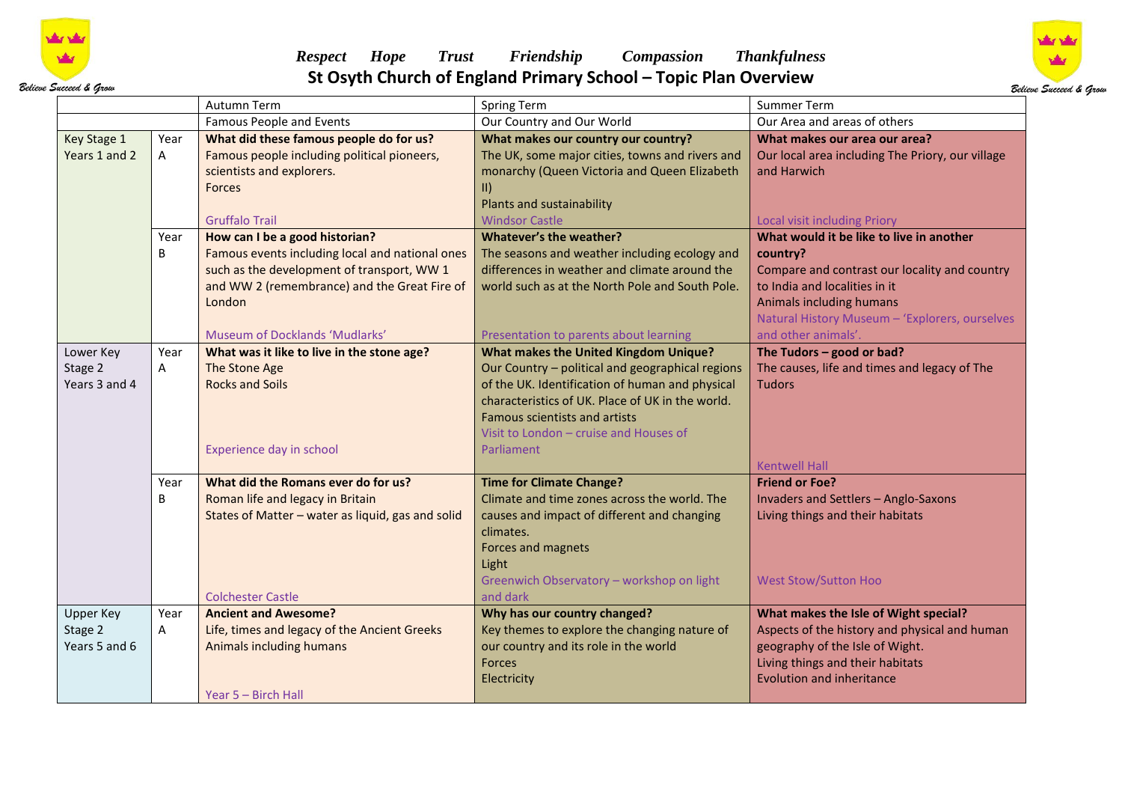

## *Respect Hope Trust Friendship Compassion Thankfulness*  **St Osyth Church of England Primary School – Topic Plan Overview**



|                          |      | Autumn Term                                       | Spring Term                                      | Summer Term                                                         |
|--------------------------|------|---------------------------------------------------|--------------------------------------------------|---------------------------------------------------------------------|
|                          |      | <b>Famous People and Events</b>                   | Our Country and Our World                        | Our Area and areas of others                                        |
| Key Stage 1              | Year | What did these famous people do for us?           | What makes our country our country?              | What makes our area our area?                                       |
| Years 1 and 2            | A    | Famous people including political pioneers,       | The UK, some major cities, towns and rivers and  | Our local area including The Priory, our village                    |
|                          |      | scientists and explorers.                         | monarchy (Queen Victoria and Queen Elizabeth     | and Harwich                                                         |
|                          |      | Forces                                            | $\vert \vert \vert$                              |                                                                     |
|                          |      |                                                   | Plants and sustainability                        |                                                                     |
|                          |      | <b>Gruffalo Trail</b>                             | <b>Windsor Castle</b>                            | <b>Local visit including Priory</b>                                 |
|                          | Year | How can I be a good historian?                    | <b>Whatever's the weather?</b>                   | What would it be like to live in another                            |
|                          | B    | Famous events including local and national ones   | The seasons and weather including ecology and    | country?                                                            |
|                          |      | such as the development of transport, WW 1        | differences in weather and climate around the    | Compare and contrast our locality and country                       |
|                          |      | and WW 2 (remembrance) and the Great Fire of      | world such as at the North Pole and South Pole.  | to India and localities in it                                       |
|                          |      | London                                            |                                                  | Animals including humans                                            |
|                          |      |                                                   |                                                  | Natural History Museum - 'Explorers, ourselves                      |
|                          |      | Museum of Docklands 'Mudlarks'                    | Presentation to parents about learning           | and other animals'.                                                 |
| Lower Key                | Year | What was it like to live in the stone age?        | <b>What makes the United Kingdom Unique?</b>     | The Tudors $-$ good or bad?                                         |
| Stage 2                  | Α    | The Stone Age                                     | Our Country - political and geographical regions | The causes, life and times and legacy of The                        |
| Years 3 and 4            |      | <b>Rocks and Soils</b>                            | of the UK. Identification of human and physical  | <b>Tudors</b>                                                       |
|                          |      |                                                   | characteristics of UK. Place of UK in the world. |                                                                     |
|                          |      |                                                   | Famous scientists and artists                    |                                                                     |
|                          |      |                                                   | Visit to London - cruise and Houses of           |                                                                     |
|                          |      | Experience day in school                          | Parliament                                       |                                                                     |
|                          |      |                                                   |                                                  | <b>Kentwell Hall</b>                                                |
|                          | Year | What did the Romans ever do for us?               | <b>Time for Climate Change?</b>                  | <b>Friend or Foe?</b>                                               |
|                          | B    | Roman life and legacy in Britain                  | Climate and time zones across the world. The     | <b>Invaders and Settlers - Anglo-Saxons</b>                         |
|                          |      | States of Matter - water as liquid, gas and solid | causes and impact of different and changing      | Living things and their habitats                                    |
|                          |      |                                                   | climates.                                        |                                                                     |
|                          |      |                                                   | Forces and magnets                               |                                                                     |
|                          |      |                                                   | Light                                            |                                                                     |
|                          |      |                                                   | Greenwich Observatory - workshop on light        | <b>West Stow/Sutton Hoo</b>                                         |
|                          |      | <b>Colchester Castle</b>                          | and dark                                         |                                                                     |
| <b>Upper Key</b>         | Year | <b>Ancient and Awesome?</b>                       | Why has our country changed?                     | What makes the Isle of Wight special?                               |
| Stage 2<br>Years 5 and 6 | Α    | Life, times and legacy of the Ancient Greeks      | Key themes to explore the changing nature of     | Aspects of the history and physical and human                       |
|                          |      | Animals including humans                          | our country and its role in the world<br>Forces  | geography of the Isle of Wight.<br>Living things and their habitats |
|                          |      |                                                   |                                                  | <b>Evolution and inheritance</b>                                    |
|                          |      | Year 5 - Birch Hall                               | Electricity                                      |                                                                     |
|                          |      |                                                   |                                                  |                                                                     |